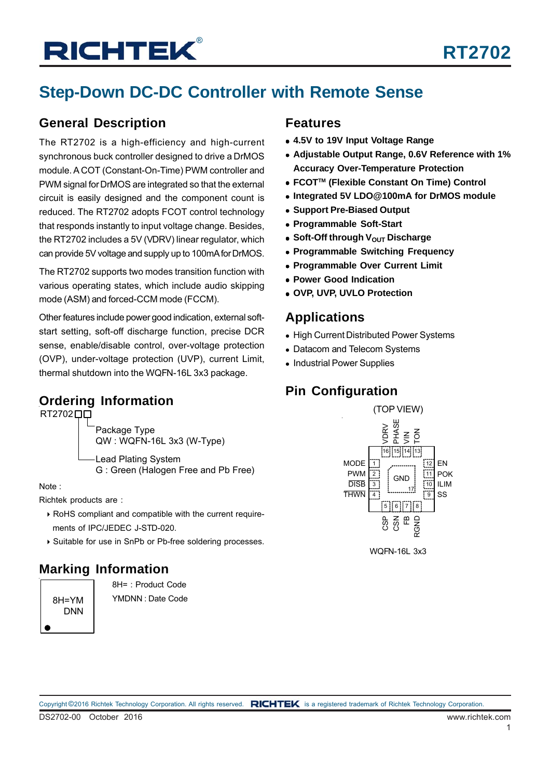## **Step-Down DC-DC Controller with Remote Sense**

### **General Description**

The RT2702 is a high-efficiency and high-current synchronous buck controller designed to drive a DrMOS module. A COT (Constant-On-Time) PWM controller and PWM signal for DrMOS are integrated so that the external circuit is easily designed and the component count is reduced. The RT2702 adopts FCOT control technology that responds instantly to input voltage change. Besides, the RT2702 includes a 5V (VDRV) linear regulator, which can provide 5V voltage and supply up to 100mA for DrMOS.

The RT2702 supports two modes transition function with various operating states, which include audio skipping mode (ASM) and forced-CCM mode (FCCM).

Other features include power good indication, external softstart setting, soft-off discharge function, precise DCR sense, enable/disable control, over-voltage protection (OVP), under-voltage protection (UVP), current Limit, thermal shutdown into the WQFN-16L 3x3 package.

### **Ordering Information**

RT2702**00** 

Package Type QW : WQFN-16L 3x3 (W-Type)

Lead Plating System G : Green (Halogen Free and Pb Free)

Note :

Richtek products are :

- ▶ RoHS compliant and compatible with the current requirements of IPC/JEDEC J-STD-020.
- ▶ Suitable for use in SnPb or Pb-free soldering processes.

### **Marking Information**

8H=YM DNN 8H= : Product Code YMDNN : Date Code

### **Features**

- **4.5V to 19V Input Voltage Range**
- **Adjustable Output Range, 0.6V Reference with 1% Accuracy Over-Temperature Protection**
- **FCOTTM (Flexible Constant On Time) Control**
- **Integrated 5V LDO@100mA for DrMOS module**
- **Support Pre-Biased Output**
- **Programmable Soft-Start**
- **Soft-Off through V<sub>OUT</sub> Discharge**
- **Programmable Switching Frequency**
- **Programmable Over Current Limit**
- **Power Good Indication**
- **OVP, UVP, UVLO Protection**

### **Applications**

- High Current Distributed Power Systems
- Datacom and Telecom Systems
- Industrial Power Supplies

### **Pin Configuration**



WQFN-16L 3x3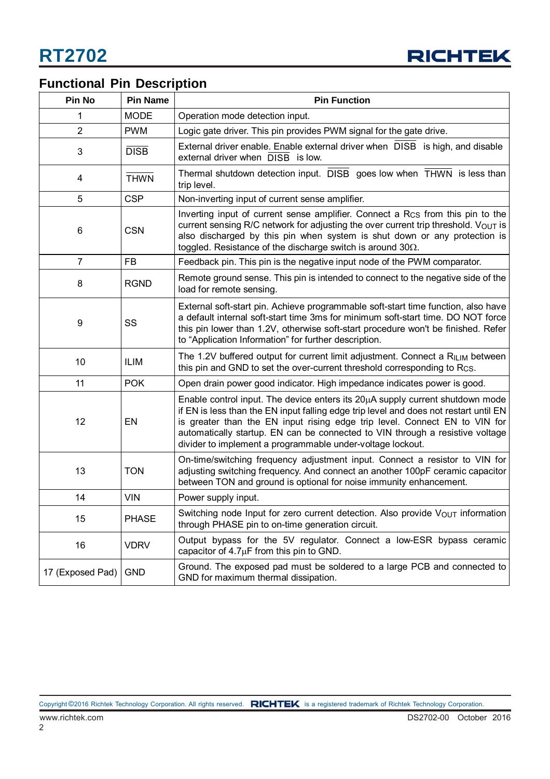

### **Functional Pin Description**

| Pin No           | <b>Pin Name</b> | <b>Pin Function</b>                                                                                                                                                                                                                                                                                                                                                                                      |  |  |
|------------------|-----------------|----------------------------------------------------------------------------------------------------------------------------------------------------------------------------------------------------------------------------------------------------------------------------------------------------------------------------------------------------------------------------------------------------------|--|--|
| 1                | <b>MODE</b>     | Operation mode detection input.                                                                                                                                                                                                                                                                                                                                                                          |  |  |
| $\overline{2}$   | <b>PWM</b>      | Logic gate driver. This pin provides PWM signal for the gate drive.                                                                                                                                                                                                                                                                                                                                      |  |  |
| 3                | <b>DISB</b>     | External driver enable. Enable external driver when DISB is high, and disable<br>external driver when DISB is low.                                                                                                                                                                                                                                                                                       |  |  |
| 4                | <b>THWN</b>     | Thermal shutdown detection input. DISB goes low when THWN is less than<br>trip level.                                                                                                                                                                                                                                                                                                                    |  |  |
| 5                | <b>CSP</b>      | Non-inverting input of current sense amplifier.                                                                                                                                                                                                                                                                                                                                                          |  |  |
| 6                | <b>CSN</b>      | Inverting input of current sense amplifier. Connect a R <sub>CS</sub> from this pin to the<br>current sensing R/C network for adjusting the over current trip threshold. VOUT is<br>also discharged by this pin when system is shut down or any protection is<br>toggled. Resistance of the discharge switch is around $30\Omega$ .                                                                      |  |  |
| $\overline{7}$   | <b>FB</b>       | Feedback pin. This pin is the negative input node of the PWM comparator.                                                                                                                                                                                                                                                                                                                                 |  |  |
| 8                | <b>RGND</b>     | Remote ground sense. This pin is intended to connect to the negative side of the<br>load for remote sensing.                                                                                                                                                                                                                                                                                             |  |  |
| 9                | SS              | External soft-start pin. Achieve programmable soft-start time function, also have<br>a default internal soft-start time 3ms for minimum soft-start time. DO NOT force<br>this pin lower than 1.2V, otherwise soft-start procedure won't be finished. Refer<br>to "Application Information" for further description.                                                                                      |  |  |
| 10               | <b>ILIM</b>     | The 1.2V buffered output for current limit adjustment. Connect a RILIM between<br>this pin and GND to set the over-current threshold corresponding to R <sub>CS</sub> .                                                                                                                                                                                                                                  |  |  |
| 11               | <b>POK</b>      | Open drain power good indicator. High impedance indicates power is good.                                                                                                                                                                                                                                                                                                                                 |  |  |
| 12               | EN              | Enable control input. The device enters its $20\mu A$ supply current shutdown mode<br>if EN is less than the EN input falling edge trip level and does not restart until EN<br>is greater than the EN input rising edge trip level. Connect EN to VIN for<br>automatically startup. EN can be connected to VIN through a resistive voltage<br>divider to implement a programmable under-voltage lockout. |  |  |
| 13               | <b>TON</b>      | On-time/switching frequency adjustment input. Connect a resistor to VIN for<br>adjusting switching frequency. And connect an another 100pF ceramic capacitor<br>between TON and ground is optional for noise immunity enhancement.                                                                                                                                                                       |  |  |
| 14               | <b>VIN</b>      | Power supply input.                                                                                                                                                                                                                                                                                                                                                                                      |  |  |
| 15               | <b>PHASE</b>    | Switching node Input for zero current detection. Also provide $V_{\text{OUT}}$ information<br>through PHASE pin to on-time generation circuit.                                                                                                                                                                                                                                                           |  |  |
| 16               | <b>VDRV</b>     | Output bypass for the 5V regulator. Connect a low-ESR bypass ceramic<br>capacitor of $4.7\mu$ F from this pin to GND.                                                                                                                                                                                                                                                                                    |  |  |
| 17 (Exposed Pad) | <b>GND</b>      | Ground. The exposed pad must be soldered to a large PCB and connected to<br>GND for maximum thermal dissipation.                                                                                                                                                                                                                                                                                         |  |  |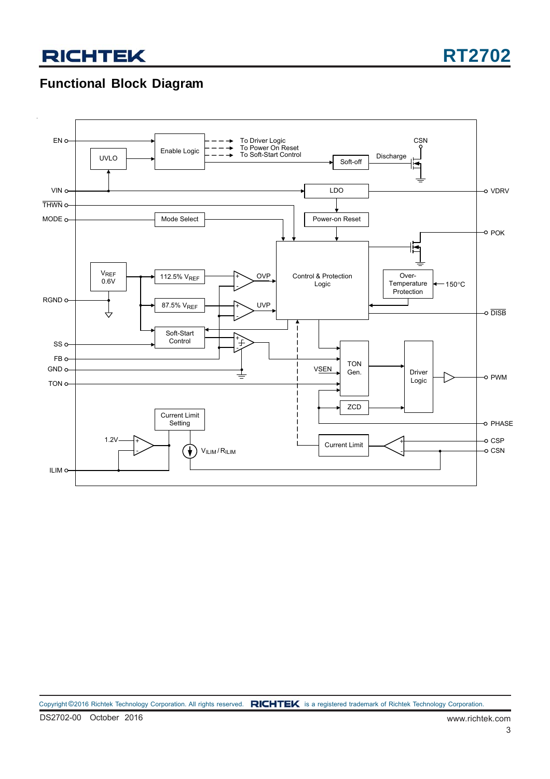### **Functional Block Diagram**

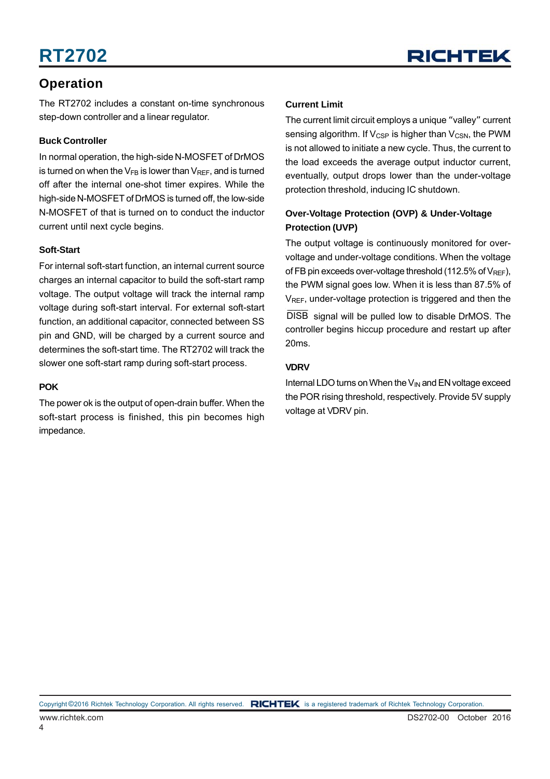### **Operation**

The RT2702 includes a constant on-time synchronous step-down controller and a linear regulator.

#### **Buck Controller**

In normal operation, the high-side N-MOSFET of DrMOS is turned on when the  $V_{FB}$  is lower than  $V_{REF}$ , and is turned off after the internal one-shot timer expires. While the high-side N-MOSFET of DrMOS is turned off, the low-side N-MOSFET of that is turned on to conduct the inductor current until next cycle begins.

#### **Soft-Start**

For internal soft-start function, an internal current source charges an internal capacitor to build the soft-start ramp voltage. The output voltage will track the internal ramp voltage during soft-start interval. For external soft-start function, an additional capacitor, connected between SS pin and GND, will be charged by a current source and determines the soft-start time. The RT2702 will track the slower one soft-start ramp during soft-start process.

#### **POK**

The power ok is the output of open-drain buffer. When the soft-start process is finished, this pin becomes high impedance.

#### **Current Limit**

The current limit circuit employs a unique "valley" current sensing algorithm. If  $V_{CSP}$  is higher than  $V_{CSN}$ , the PWM is not allowed to initiate a new cycle. Thus, the current to the load exceeds the average output inductor current, eventually, output drops lower than the under-voltage protection threshold, inducing IC shutdown.

#### **Over-Voltage Protection (OVP) & Under-Voltage Protection (UVP)**

The output voltage is continuously monitored for overvoltage and under-voltage conditions. When the voltage of FB pin exceeds over-voltage threshold (112.5% of  $V_{REF}$ ). the PWM signal goes low. When it is less than 87.5% of V<sub>REF</sub>, under-voltage protection is triggered and then the DISB signal will be pulled low to disable DrMOS. The controller begins hiccup procedure and restart up after 20ms.

#### **VDRV**

Internal LDO turns on When the  $V_{\text{IN}}$  and EN voltage exceed the POR rising threshold, respectively. Provide 5V supply voltage at VDRV pin.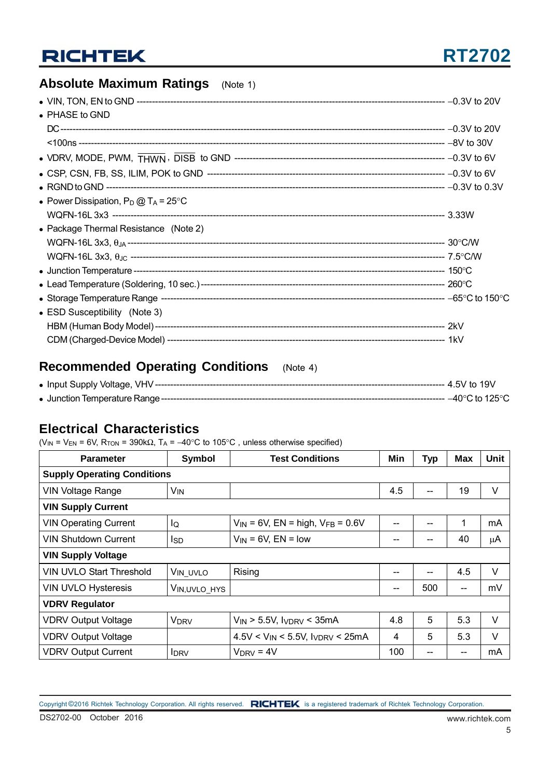## **RT2702**

### **Absolute Maximum Ratings** (Note 1)

| $\bullet$ PHASE to GND                         |  |
|------------------------------------------------|--|
|                                                |  |
|                                                |  |
|                                                |  |
|                                                |  |
|                                                |  |
| • Power Dissipation, $P_D @ T_A = 25^{\circ}C$ |  |
|                                                |  |
| • Package Thermal Resistance (Note 2)          |  |
|                                                |  |
|                                                |  |
|                                                |  |
|                                                |  |
|                                                |  |
| • ESD Susceptibility (Note 3)                  |  |
|                                                |  |
|                                                |  |

### **Recommended Operating Conditions** (Note 4)

### **Electrical Characteristics**

( $V_{IN}$  = V<sub>EN</sub> = 6V, R<sub>TON</sub> = 390k $\Omega$ , T<sub>A</sub> = -40°C to 105°C, unless otherwise specified)

| <b>Parameter</b>                   | Symbol          | <b>Test Conditions</b>                    |     | <b>Typ</b> | <b>Max</b> | Unit   |  |  |
|------------------------------------|-----------------|-------------------------------------------|-----|------------|------------|--------|--|--|
| <b>Supply Operating Conditions</b> |                 |                                           |     |            |            |        |  |  |
| <b>VIN Voltage Range</b>           | V <sub>IN</sub> |                                           | 4.5 |            | 19         | V      |  |  |
| <b>VIN Supply Current</b>          |                 |                                           |     |            |            |        |  |  |
| <b>VIN Operating Current</b>       | lQ              | $V_{IN}$ = 6V, EN = high, $V_{FB}$ = 0.6V |     |            | 1          | mA     |  |  |
| <b>VIN Shutdown Current</b>        | Isp             | $V_{IN}$ = 6V, EN = low                   | --  |            | 40         | μA     |  |  |
| <b>VIN Supply Voltage</b>          |                 |                                           |     |            |            |        |  |  |
| VIN UVLO Start Threshold           | VIN_UVLO        | Rising                                    | --  |            | 4.5        | V      |  |  |
| VIN UVLO Hysteresis                | VIN,UVLO HYS    |                                           | --  | 500        | --         | mV     |  |  |
| <b>VDRV Regulator</b>              |                 |                                           |     |            |            |        |  |  |
| <b>VDRV Output Voltage</b>         | <b>VDRV</b>     | $V_{IN}$ > 5.5V, $I_{VDRV}$ < 35mA        | 4.8 | 5          | 5.3        | $\vee$ |  |  |
| <b>VDRV Output Voltage</b>         |                 | $4.5V < V_{IN} < 5.5V$ , IVDRV < 25mA     | 4   | 5          | 5.3        | V      |  |  |
| <b>VDRV Output Current</b>         | <b>IDRV</b>     | $V_{\text{DRV}}$ = 4V                     | 100 |            | --         | mA     |  |  |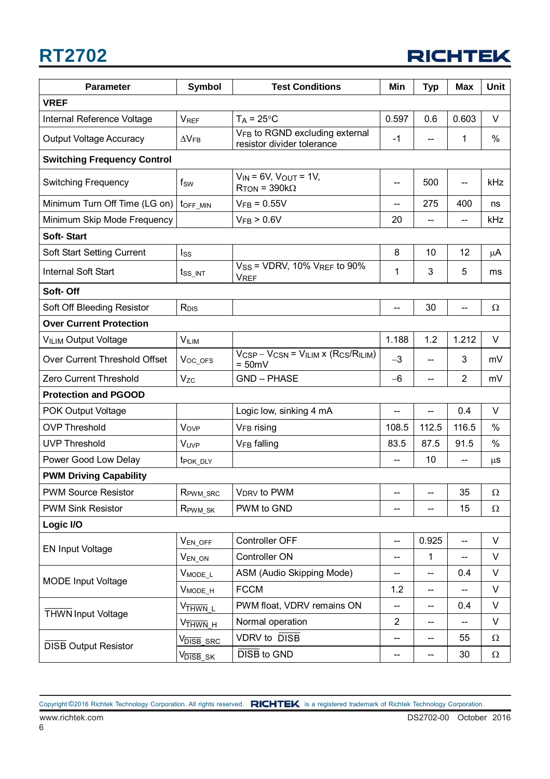

| <b>Symbol</b><br><b>Parameter</b>  |                                | <b>Test Conditions</b>                                             | Min                      | <b>Typ</b>               | <b>Max</b>               | <b>Unit</b> |  |  |  |
|------------------------------------|--------------------------------|--------------------------------------------------------------------|--------------------------|--------------------------|--------------------------|-------------|--|--|--|
| <b>VREF</b>                        |                                |                                                                    |                          |                          |                          |             |  |  |  |
| Internal Reference Voltage         | <b>VREF</b>                    | $T_A = 25^{\circ}C$                                                | 0.597                    | 0.6                      | 0.603                    | $\vee$      |  |  |  |
| <b>Output Voltage Accuracy</b>     | $\Delta V_{FB}$                | VFB to RGND excluding external<br>resistor divider tolerance       | -1                       |                          | 1                        | %           |  |  |  |
| <b>Switching Frequency Control</b> |                                |                                                                    |                          |                          |                          |             |  |  |  |
| <b>Switching Frequency</b>         | $f_{SW}$                       | $V_{IN}$ = 6V, $V_{OUT}$ = 1V,<br>$R_{\text{TON}}$ = 390k $\Omega$ | $\overline{\phantom{a}}$ | 500                      | $\overline{\phantom{a}}$ | kHz         |  |  |  |
| Minimum Turn Off Time (LG on)      | toff_MIN                       | $V_{FB} = 0.55V$                                                   | $\overline{\phantom{a}}$ | 275                      | 400                      | ns          |  |  |  |
| Minimum Skip Mode Frequency        |                                | V <sub>FB</sub> > 0.6V                                             | 20                       |                          | $-$                      | kHz         |  |  |  |
| <b>Soft-Start</b>                  |                                |                                                                    |                          |                          |                          |             |  |  |  |
| Soft Start Setting Current         | $I_{SS}$                       |                                                                    | 8                        | 10                       | 12                       | μA          |  |  |  |
| <b>Internal Soft Start</b>         | tss_int                        | $VSS$ = VDRV, 10% $VREF$ to 90%<br><b>VREF</b>                     | 1                        | 3                        | 5                        | ms          |  |  |  |
| Soft-Off                           |                                |                                                                    |                          |                          |                          |             |  |  |  |
| Soft Off Bleeding Resistor         | R <sub>DIS</sub>               |                                                                    | $-$                      | 30                       | --                       | $\Omega$    |  |  |  |
| <b>Over Current Protection</b>     |                                |                                                                    |                          |                          |                          |             |  |  |  |
| <b>VILIM Output Voltage</b>        | <b>VILIM</b>                   |                                                                    | 1.188                    | 1.2                      | 1.212                    | V           |  |  |  |
| Over Current Threshold Offset      | $V_{OC_OFS}$                   | $V_{CSP} - V_{CSN} = V_{ILIM} x (R_{CS}/R_{ILIM})$<br>$= 50mV$     | $-3$                     |                          | 3                        | mV          |  |  |  |
| Zero Current Threshold             | $V_{ZC}$                       | <b>GND - PHASE</b>                                                 | $-6$                     | --                       | $\overline{2}$           | mV          |  |  |  |
| <b>Protection and PGOOD</b>        |                                |                                                                    |                          |                          |                          |             |  |  |  |
| POK Output Voltage                 |                                | Logic low, sinking 4 mA                                            | $\overline{\phantom{a}}$ | $\overline{\phantom{a}}$ | 0.4                      | V           |  |  |  |
| <b>OVP Threshold</b>               | Vove                           | V <sub>FB</sub> rising                                             | 108.5                    | 112.5                    | 116.5                    | %           |  |  |  |
| <b>UVP Threshold</b>               | VUVP                           | V <sub>FB</sub> falling                                            | 83.5                     | 87.5                     | 91.5                     | %           |  |  |  |
| Power Good Low Delay               | t <sub>POK_DLY</sub>           |                                                                    |                          | 10                       | --                       | $\mu$ s     |  |  |  |
| <b>PWM Driving Capability</b>      |                                |                                                                    |                          |                          |                          |             |  |  |  |
| <b>PWM Source Resistor</b>         | $R_{\text{PWM\_SRC}}$          | V <sub>DRV</sub> to PWM                                            | $\overline{\phantom{a}}$ | $\overline{\phantom{a}}$ | 35                       | 32          |  |  |  |
| <b>PWM Sink Resistor</b>           | $R_{\text{PWM\_SK}}$           | PWM to GND                                                         |                          | --                       | 15                       | Ω           |  |  |  |
| Logic I/O                          |                                |                                                                    |                          |                          |                          |             |  |  |  |
| <b>EN Input Voltage</b>            | $V_{EN_OFF}$                   | Controller OFF                                                     | $\overline{\phantom{a}}$ | 0.925                    | ш.,                      | $\vee$      |  |  |  |
|                                    | $V_{EN_ON}$                    | Controller ON                                                      | $\overline{\phantom{a}}$ | $\mathbf{1}$             | --                       | $\vee$      |  |  |  |
| <b>MODE Input Voltage</b>          | $V_{MODE\_L}$                  | ASM (Audio Skipping Mode)                                          | --                       | --                       | 0.4                      | $\vee$      |  |  |  |
|                                    | V <sub>MODE_H</sub>            | <b>FCCM</b>                                                        | 1.2                      | --                       | --                       | V           |  |  |  |
| <b>THWN</b> Input Voltage          | V <sub>THWN</sub> _L           | PWM float, VDRV remains ON                                         |                          | --                       | 0.4                      | V           |  |  |  |
|                                    | V <sub>THWN_H</sub>            | Normal operation                                                   | $\overline{2}$           | --                       | $\overline{\phantom{a}}$ | V           |  |  |  |
| <b>DISB Output Resistor</b>        | V <sub>DISB</sub> _SRC         | <b>VDRV</b> to DISB<br>$\overline{\phantom{a}}$                    |                          | --                       | 55                       | Ω           |  |  |  |
|                                    | $V_{\overline{\sf{DISB}}\_SK}$ | <b>DISB to GND</b>                                                 | $\overline{\phantom{a}}$ | --                       | 30                       | $\Omega$    |  |  |  |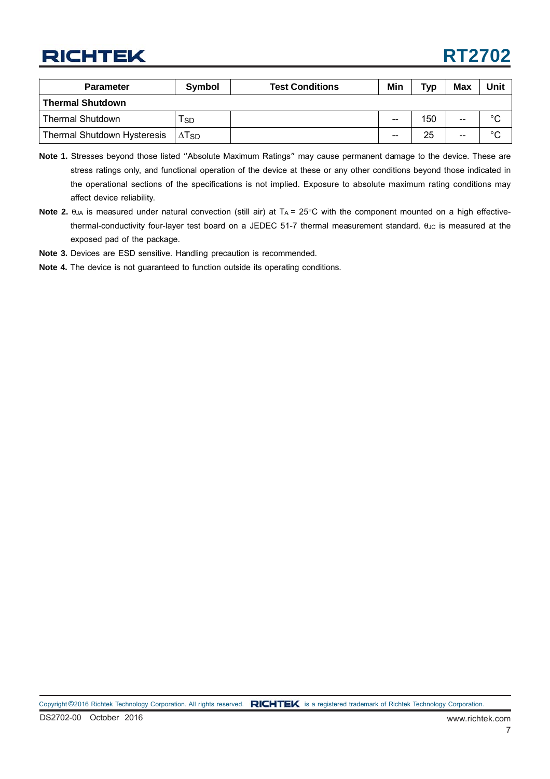## **RT2702**

| <b>Parameter</b>                   | Symbol | <b>Test Conditions</b> | Min | Typ | <b>Max</b> | Unit    |
|------------------------------------|--------|------------------------|-----|-----|------------|---------|
| <b>Thermal Shutdown</b>            |        |                        |     |     |            |         |
| <b>Thermal Shutdown</b>            | l sd   |                        | --  | 150 | $- -$      | $\circ$ |
| <b>Thermal Shutdown Hysteresis</b> | I∆Tsd  |                        | --  | 25  | $- -$      | $\sim$  |

- **Note 1.** Stresses beyond those listed "Absolute Maximum Ratings" may cause permanent damage to the device. These are stress ratings only, and functional operation of the device at these or any other conditions beyond those indicated in the operational sections of the specifications is not implied. Exposure to absolute maximum rating conditions may affect device reliability.
- Note 2. θ<sub>JA</sub> is measured under natural convection (still air) at T<sub>A</sub> = 25°C with the component mounted on a high effectivethermal-conductivity four-layer test board on a JEDEC 51-7 thermal measurement standard. θ<sub>JC</sub> is measured at the exposed pad of the package.

**Note 3.** Devices are ESD sensitive. Handling precaution is recommended.

**Note 4.** The device is not guaranteed to function outside its operating conditions.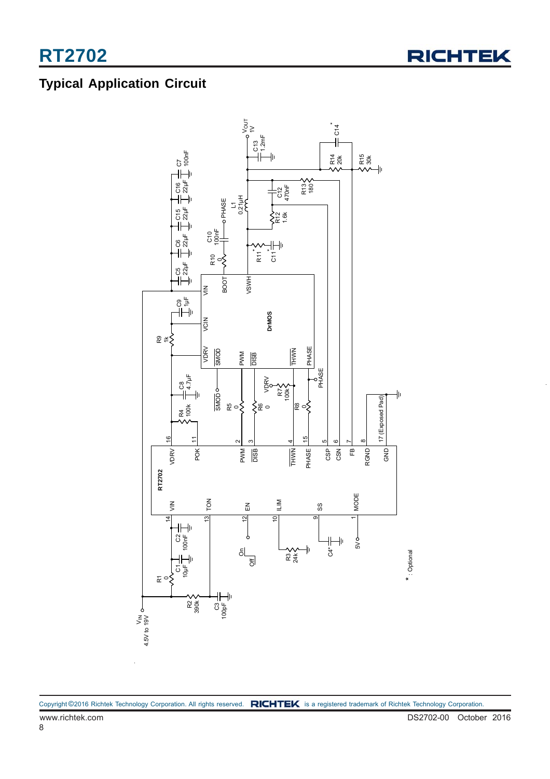### **Typical Application Circuit**

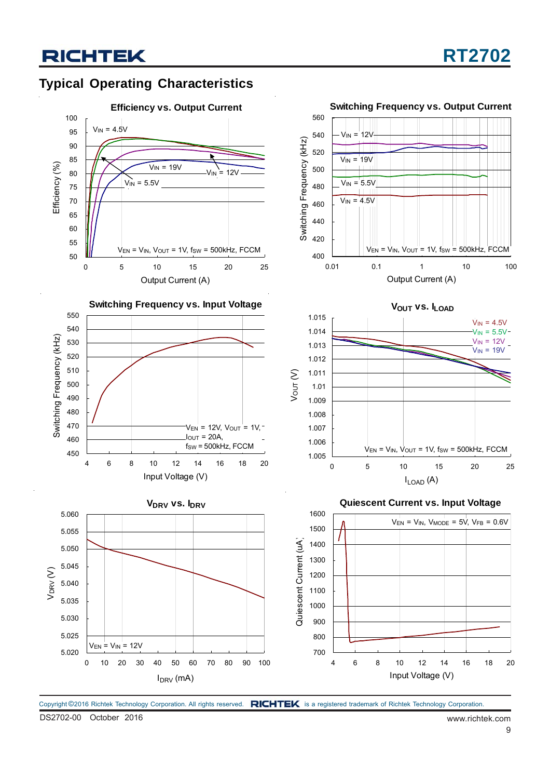



Copyright ©2016 Richtek Technology Corporation. All rights reserved. RICHTEK is a registered trademark of Richtek Technology Corporation.

DS2702-00 October 2016 www.richtek.com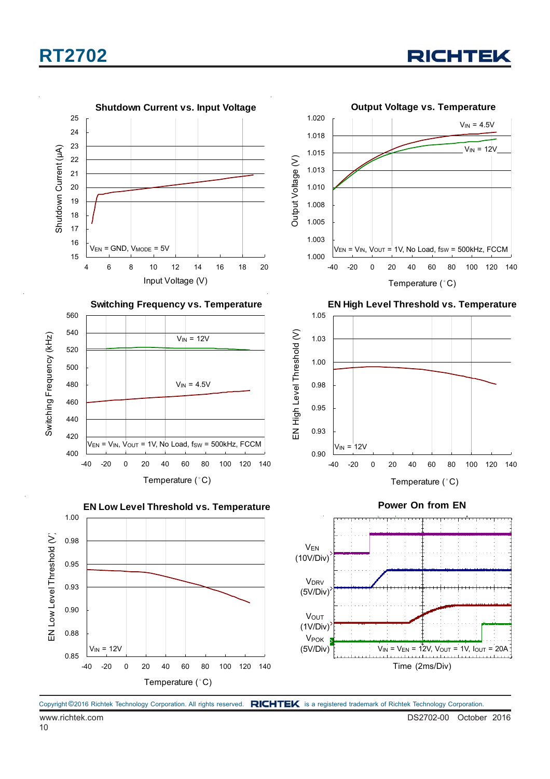

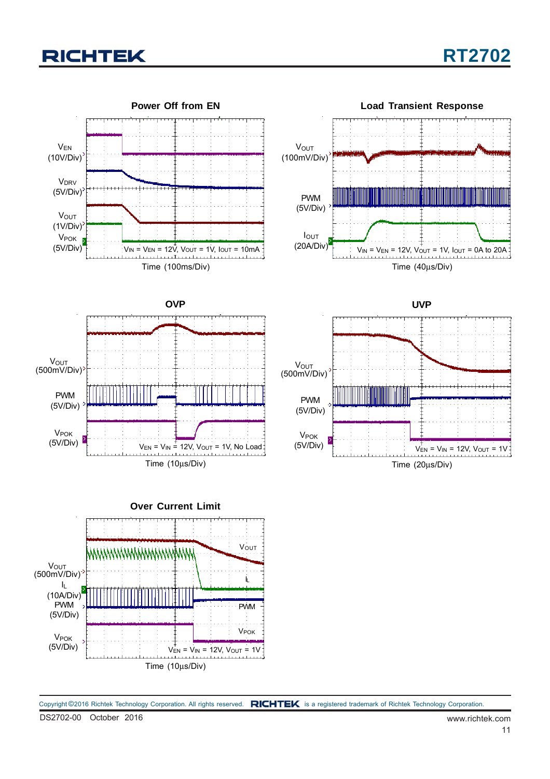

Copyright ©2016 Richtek Technology Corporation. All rights reserved. RICHTEK is a registered trademark of Richtek Technology Corporation.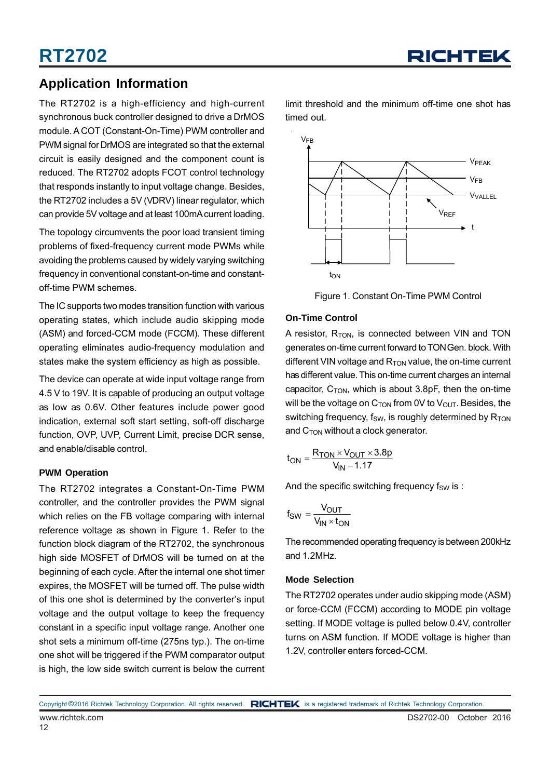### **Application Information**

The RT2702 is a high-efficiency and high-current synchronous buck controller designed to drive a DrMOS module. A COT (Constant-On-Time) PWM controller and PWM signal for DrMOS are integrated so that the external circuit is easily designed and the component count is reduced. The RT2702 adopts FCOT control technology that responds instantly to input voltage change. Besides, the RT2702 includes a 5V (VDRV) linear regulator, which can provide 5V voltage and at least 100mA current loading.

The topology circumvents the poor load transient timing problems of fixed-frequency current mode PWMs while avoiding the problems caused by widely varying switching frequency in conventional constant-on-time and constantoff-time PWM schemes.

The IC supports two modes transition function with various operating states, which include audio skipping mode (ASM) and forced-CCM mode (FCCM). These different operating eliminates audio-frequency modulation and states make the system efficiency as high as possible.

The device can operate at wide input voltage range from 4.5 V to 19V. It is capable of producing an output voltage as low as 0.6V. Other features include power good indication, external soft start setting, soft-off discharge function, OVP, UVP, Current Limit, precise DCR sense, and enable/disable control.

#### **PWM Operation**

The RT2702 integrates a Constant-On-Time PWM controller, and the controller provides the PWM signal which relies on the FB voltage comparing with internal reference voltage as shown in Figure 1. Refer to the function block diagram of the RT2702, the synchronous high side MOSFET of DrMOS will be turned on at the beginning of each cycle. After the internal one shot timer expires, the MOSFET will be turned off. The pulse width of this one shot is determined by the converter's input voltage and the output voltage to keep the frequency constant in a specific input voltage range. Another one shot sets a minimum off-time (275ns typ.). The on-time one shot will be triggered if the PWM comparator output is high, the low side switch current is below the current

limit threshold and the minimum off-time one shot has timed out.



Figure 1. Constant On-Time PWM Control

#### **On-Time Control**

A resistor,  $R_{TON}$ , is connected between VIN and TON generates on-time current forward to TON Gen. block. With different VIN voltage and  $R_{TON}$  value, the on-time current has different value. This on-time current charges an internal capacitor,  $C_{TON}$ , which is about 3.8pF, then the on-time will be the voltage on  $C_{TON}$  from 0V to  $V_{OUT}$ . Besides, the switching frequency,  $f_{SW}$ , is roughly determined by  $R_{TON}$ and  $C<sub>TON</sub>$  without a clock generator.

$$
t_{ON} = \frac{R_{TON} \times V_{OUT} \times 3.8p}{V_{IN} - 1.17}
$$

And the specific switching frequency  $f_{SW}$  is :

$$
f_{SW} = \frac{V_{OUT}}{V_{IN} \times t_{ON}}
$$

The recommended operating frequency is between 200kHz and 1.2MHz.

#### **Mode Selection**

The RT2702 operates under audio skipping mode (ASM) or force-CCM (FCCM) according to MODE pin voltage setting. If MODE voltage is pulled below 0.4V, controller turns on ASM function. If MODE voltage is higher than 1.2V, controller enters forced-CCM.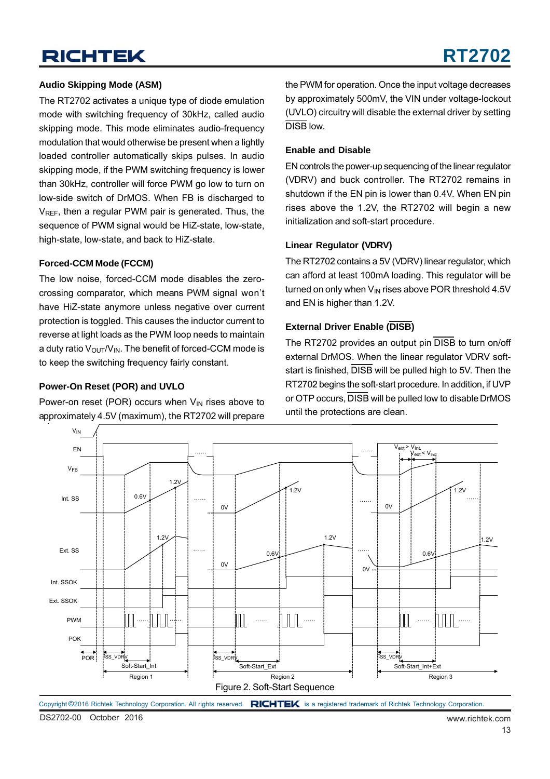#### **Audio Skipping Mode (ASM)**

The RT2702 activates a unique type of diode emulation mode with switching frequency of 30kHz, called audio skipping mode. This mode eliminates audio-frequency modulation that would otherwise be present when a lightly loaded controller automatically skips pulses. In audio skipping mode, if the PWM switching frequency is lower than 30kHz, controller will force PWM go low to turn on low-side switch of DrMOS. When FB is discharged to V<sub>REF</sub>, then a regular PWM pair is generated. Thus, the sequence of PWM signal would be HiZ-state, low-state, high-state, low-state, and back to HiZ-state.

#### **Forced-CCM Mode (FCCM)**

The low noise, forced-CCM mode disables the zerocrossing comparator, which means PWM signal won't have HiZ-state anymore unless negative over current protection is toggled. This causes the inductor current to reverse at light loads as the PWM loop needs to maintain a duty ratio  $V_{\text{OUT}}/V_{\text{IN}}$ . The benefit of forced-CCM mode is to keep the switching frequency fairly constant.

#### **Power-On Reset (POR) and UVLO**

Power-on reset (POR) occurs when  $V_{IN}$  rises above to approximately 4.5V (maximum), the RT2702 will prepare the PWM for operation. Once the input voltage decreases by approximately 500mV, the VIN under voltage-lockout (UVLO) circuitry will disable the external driver by setting DISB low.

#### **Enable and Disable**

EN controls the power-up sequencing of the linear regulator (VDRV) and buck controller. The RT2702 remains in shutdown if the EN pin is lower than 0.4V. When EN pin rises above the 1.2V, the RT2702 will begin a new initialization and soft-start procedure.

#### **Linear Regulator (VDRV)**

The RT2702 contains a 5V (VDRV) linear regulator, which can afford at least 100mA loading. This regulator will be turned on only when  $V_{IN}$  rises above POR threshold 4.5V and EN is higher than 1.2V.

#### **External Driver Enable (DISB)**

The RT2702 provides an output pin DISB to turn on/off external DrMOS. When the linear regulator VDRV softstart is finished, DISB will be pulled high to 5V. Then the RT2702 begins the soft-start procedure. In addition, if UVP or OTP occurs, DISB will be pulled low to disable DrMOS until the protections are clean.

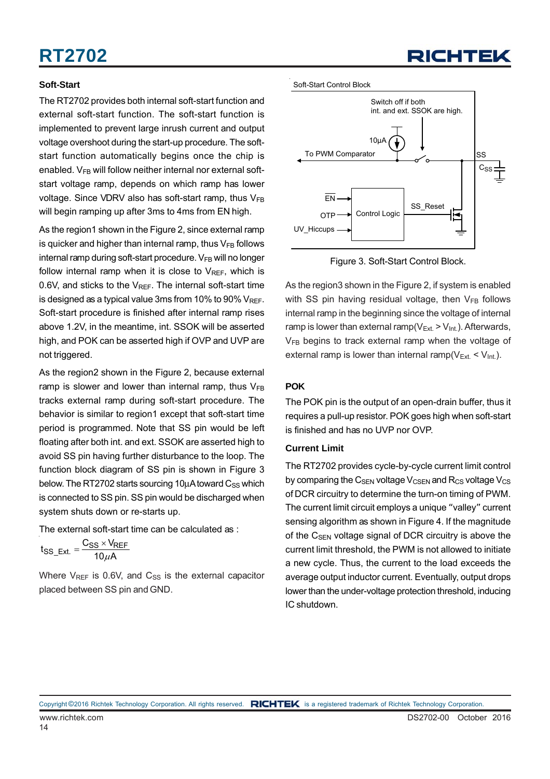#### **Soft-Start**

The RT2702 provides both internal soft-start function and external soft-start function. The soft-start function is implemented to prevent large inrush current and output voltage overshoot during the start-up procedure. The softstart function automatically begins once the chip is enabled.  $V_{FB}$  will follow neither internal nor external softstart voltage ramp, depends on which ramp has lower voltage. Since VDRV also has soft-start ramp, thus  $V_{FB}$ will begin ramping up after 3ms to 4ms from EN high.

As the region1 shown in the Figure 2, since external ramp is quicker and higher than internal ramp, thus  $V_{FB}$  follows internal ramp during soft-start procedure.  $V_{FB}$  will no longer follow internal ramp when it is close to  $V_{REF}$ , which is 0.6V, and sticks to the  $V_{REF}$ . The internal soft-start time is designed as a typical value 3ms from 10% to 90% VREF. Soft-start procedure is finished after internal ramp rises above 1.2V, in the meantime, int. SSOK will be asserted high, and POK can be asserted high if OVP and UVP are not triggered.

As the region2 shown in the Figure 2, because external ramp is slower and lower than internal ramp, thus  $V_{FB}$ tracks external ramp during soft-start procedure. The behavior is similar to region1 except that soft-start time period is programmed. Note that SS pin would be left floating after both int. and ext. SSOK are asserted high to avoid SS pin having further disturbance to the loop. The function block diagram of SS pin is shown in Figure 3 below. The RT2702 starts sourcing 10 $\mu$ A toward C<sub>SS</sub> which is connected to SS pin. SS pin would be discharged when system shuts down or re-starts up.

The external soft-start time can be calculated as :

$$
t_{SS\_Ext.} = \frac{C_{SS} \times V_{REF}}{10 \mu A}
$$

Where  $V_{REF}$  is 0.6V, and  $C_{SS}$  is the external capacitor placed between SS pin and GND.

Soft-Start Control Block



Figure 3. Soft-Start Control Block.

As the region3 shown in the Figure 2, if system is enabled with SS pin having residual voltage, then  $V_{FB}$  follows internal ramp in the beginning since the voltage of internal ramp is lower than external ramp( $V_{ext} > V_{int}$ ). Afterwards,  $V_{FB}$  begins to track external ramp when the voltage of external ramp is lower than internal ramp( $V_{Ext.}$  <  $V_{int.}$ ).

#### **POK**

The POK pin is the output of an open-drain buffer, thus it requires a pull-up resistor. POK goes high when soft-start is finished and has no UVP nor OVP.

#### **Current Limit**

The RT2702 provides cycle-by-cycle current limit control by comparing the  $C_{\text{SEN}}$  voltage  $V_{\text{CSEN}}$  and  $R_{\text{CS}}$  voltage  $V_{\text{CS}}$ of DCR circuitry to determine the turn-on timing of PWM. The current limit circuit employs a unique "valley" current sensing algorithm as shown in Figure 4. If the magnitude of the C<sub>SEN</sub> voltage signal of DCR circuitry is above the current limit threshold, the PWM is not allowed to initiate a new cycle. Thus, the current to the load exceeds the average output inductor current. Eventually, output drops lower than the under-voltage protection threshold, inducing IC shutdown.

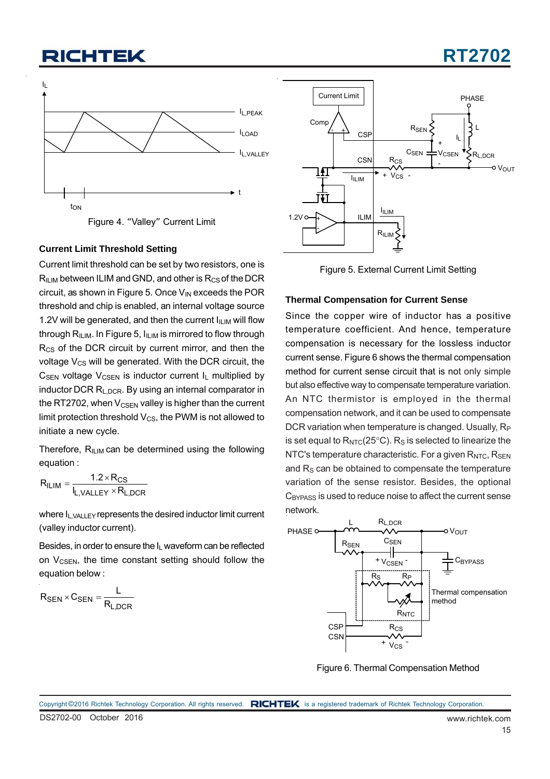### **CHTEK**



Figure 4. "Valley" Current Limit

#### **Current Limit Threshold Setting**

Current limit threshold can be set by two resistors, one is  $R_{ILIM}$  between ILIM and GND, and other is  $R_{CS}$  of the DCR circuit, as shown in Figure 5. Once V<sub>IN</sub> exceeds the POR threshold and chip is enabled, an internal voltage source 1.2V will be generated, and then the current  $I_{\text{II IM}}$  will flow through  $R_{ILIM}$ . In Figure 5,  $I_{ILIM}$  is mirrored to flow through R<sub>CS</sub> of the DCR circuit by current mirror, and then the voltage  $V_{CS}$  will be generated. With the DCR circuit, the  $C_{SEN}$  voltage  $V_{CSEN}$  is inductor current  $I_L$  multiplied by inductor DCR R<sub>L,DCR</sub>. By using an internal comparator in the RT2702, when  $V_{\text{CSEN}}$  valley is higher than the current limit protection threshold  $V_{CS}$ , the PWM is not allowed to initiate a new cycle.

Therefore,  $R_{ILIM}$  can be determined using the following equation :

$$
R_{ILIM} = \frac{1.2 \times R_{CS}}{I_{L,VALLEY} \times R_{L,DCR}}
$$

where I<sub>L,VALLEY</sub> represents the desired inductor limit current (valley inductor current).

Besides, in order to ensure the IL waveform can be reflected on  $V_{CSEN}$ , the time constant setting should follow the equation below :

$$
R_{SEN} \times C_{SEN} = \frac{L}{R_{L,DCR}}
$$



Figure 5. External Current Limit Setting

#### **Thermal Compensation for Current Sense**

Since the copper wire of inductor has a positive temperature coefficient. And hence, temperature compensation is necessary for the lossless inductor current sense. Figure 6 shows the thermal compensation method for current sense circuit that is not only simple but also effective way to compensate temperature variation. An NTC thermistor is employed in the thermal compensation network, and it can be used to compensate DCR variation when temperature is changed. Usually, R<sub>P</sub> is set equal to  $R_{NTC}(25^{\circ}C)$ . R<sub>S</sub> is selected to linearize the NTC's temperature characteristic. For a given  $R<sub>NTC</sub>$ ,  $R<sub>SEN</sub>$ and  $R<sub>S</sub>$  can be obtained to compensate the temperature variation of the sense resistor. Besides, the optional C<sub>BYPASS</sub> is used to reduce noise to affect the current sense network.



Figure 6. Thermal Compensation Method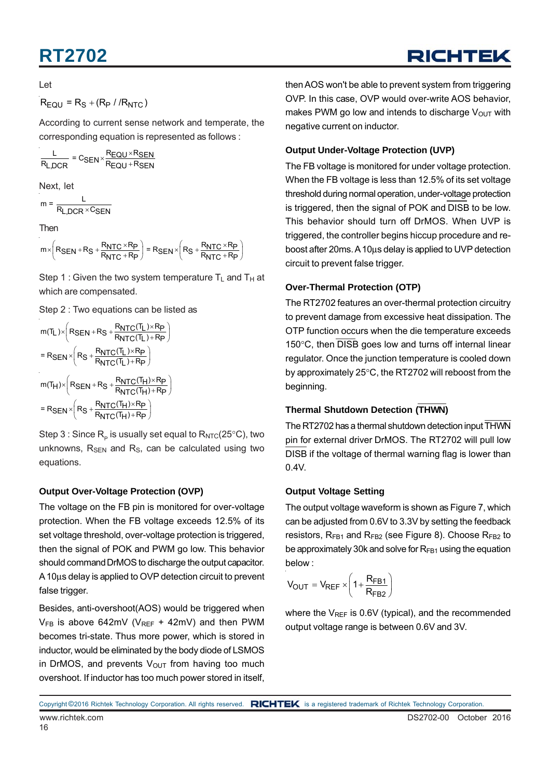#### Let

 $R_{\text{FOL}} = R_{\text{S}} + (R_{\text{P}} / /R_{\text{NTC}})$ 

According to current sense network and temperate, the corresponding equation is represented as follows :

$$
\frac{L}{R_{L,DCR}} = C_{SEN} \times \frac{R_{EQU} \times R_{SEN}}{R_{EQU} + R_{SEN}}
$$

Next, let

$$
m = \frac{L}{R_{L,DCR} \times C_{SEN}}
$$

Then

 $m \times \left(R_{\text{SEN}} + R_{\text{S}} + \frac{R_{\text{NTC}} \times R_{\text{P}}}{R_{\text{NTC}} + R_{\text{P}}}\right) = R_{\text{SEN}} \times \left(R_{\text{S}} + \frac{R_{\text{NTC}} \times R_{\text{P}}}{R_{\text{NTC}} + R_{\text{P}}}\right)$ 

Step 1 : Given the two system temperature  $T_L$  and  $T_H$  at which are compensated.

Step 2 : Two equations can be listed as

$$
m(T_L) \times \left(R_{SEN} + R_S + \frac{R_{NTC}(T_L) \times R_P}{R_{NTC}(T_L) + R_P}\right)
$$
\n
$$
= R_{SEN} \times \left(R_S + \frac{R_{NTC}(T_L) \times R_P}{R_{NTC}(T_L) + R_P}\right)
$$
\n
$$
m(T_H) \times \left(R_{SEN} + R_S + \frac{R_{NTC}(T_H) \times R_P}{R_{NTC}(T_H) + R_P}\right)
$$
\n
$$
= R_{SEN} \times \left(R_S + \frac{R_{NTC}(T_H) \times R_P}{R_{NTC}(T_H) + R_P}\right)
$$

Step 3 : Since  $R_p$  is usually set equal to  $R_{\text{NTC}}(25^{\circ}C)$ , two unknowns,  $R_{\text{SEN}}$  and  $R_{\text{S}}$ , can be calculated using two equations.

#### **Output Over-Voltage Protection (OVP)**

The voltage on the FB pin is monitored for over-voltage protection. When the FB voltage exceeds 12.5% of its set voltage threshold, over-voltage protection is triggered, then the signal of POK and PWM go low. This behavior should command DrMOS to discharge the output capacitor. A 10μs delay is applied to OVP detection circuit to prevent false trigger.

Besides, anti-overshoot(AOS) would be triggered when  $V_{FB}$  is above 642mV (V<sub>REF</sub> + 42mV) and then PWM becomes tri-state. Thus more power, which is stored in inductor, would be eliminated by the body diode of LSMOS in DrMOS, and prevents  $V_{\text{OUT}}$  from having too much overshoot. If inductor has too much power stored in itself,

then AOS won't be able to prevent system from triggering OVP. In this case, OVP would over-write AOS behavior, makes PWM go low and intends to discharge  $V_{OUT}$  with negative current on inductor.

#### **Output Under-Voltage Protection (UVP)**

The FB voltage is monitored for under voltage protection. When the FB voltage is less than 12.5% of its set voltage threshold during normal operation, under-voltage protection is triggered, then the signal of POK and DISB to be low. This behavior should turn off DrMOS. When UVP is triggered, the controller begins hiccup procedure and reboost after 20ms. A 10μs delay is applied to UVP detection circuit to prevent false trigger.

#### **Over-Thermal Protection (OTP)**

The RT2702 features an over-thermal protection circuitry to prevent damage from excessive heat dissipation. The OTP function occurs when the die temperature exceeds 150°C, then DISB goes low and turns off internal linear regulator. Once the junction temperature is cooled down by approximately 25°C, the RT2702 will reboost from the beginning.

#### **Thermal Shutdown Detection (THWN)**

The RT2702 has a thermal shutdown detection input THWN pin for external driver DrMOS. The RT2702 will pull low DISB if the voltage of thermal warning flag is lower than 0.4V.

#### **Output Voltage Setting**

The output voltage waveform is shown as Figure 7, which can be adjusted from 0.6V to 3.3V by setting the feedback resistors,  $R_{FB1}$  and  $R_{FB2}$  (see Figure 8). Choose  $R_{FB2}$  to be approximately 30k and solve for  $R_{FB1}$  using the equation below :

$$
V_{OUT} = V_{REF} \times \left(1 + \frac{R_{FB1}}{R_{FB2}}\right)
$$

where the  $V_{REF}$  is 0.6V (typical), and the recommended output voltage range is between 0.6V and 3V.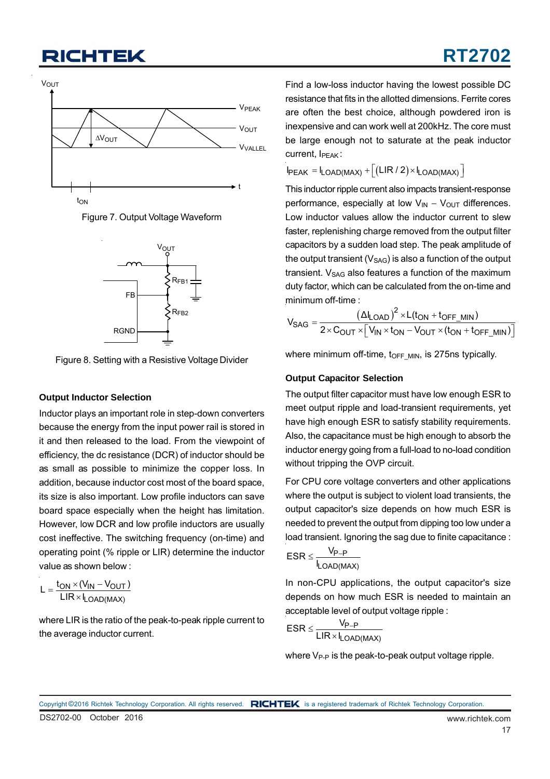





Figure 8. Setting with a Resistive Voltage Divider

#### **Output Inductor Selection**

Inductor plays an important role in step-down converters because the energy from the input power rail is stored in it and then released to the load. From the viewpoint of efficiency, the dc resistance (DCR) of inductor should be as small as possible to minimize the copper loss. In addition, because inductor cost most of the board space, its size is also important. Low profile inductors can save board space especially when the height has limitation. However, low DCR and low profile inductors are usually cost ineffective. The switching frequency (on-time) and operating point (% ripple or LIR) determine the inductor value as shown below :

$$
L = \frac{t_{ON} \times (V_{IN} - V_{OUT})}{LIR \times I_{LOAD(MAX)}}
$$

where LIR is the ratio of the peak-to-peak ripple current to the average inductor current.

Find a low-loss inductor having the lowest possible DC resistance that fits in the allotted dimensions. Ferrite cores are often the best choice, although powdered iron is inexpensive and can work well at 200kHz. The core must be large enough not to saturate at the peak inductor current, I<sub>PFAK</sub>:

**RT2702**

 $I_{PEAK} = I_{LOAD(MAX)} + [(LIR/2) \times I_{LOAD(MAX)}]$ 

This inductor ripple current also impacts transient-response performance, especially at low  $V_{IN} - V_{OUT}$  differences. Low inductor values allow the inductor current to slew faster, replenishing charge removed from the output filter capacitors by a sudden load step. The peak amplitude of the output transient  $(V_{SAG})$  is also a function of the output transient.  $V_{SAG}$  also features a function of the maximum duty factor, which can be calculated from the on-time and minimum off-time :

$$
V_{SAG} = \frac{(\Delta I_{LOAD})^2 \times L(t_{ON} + t_{OFF\_MIN})}{2 \times C_{OUT} \times [V_{IN} \times t_{ON} - V_{OUT} \times (t_{ON} + t_{OFF\_MIN})]}
$$

where minimum off-time, toFF\_MIN, is 275ns typically.

#### **Output Capacitor Selection**

The output filter capacitor must have low enough ESR to meet output ripple and load-transient requirements, yet have high enough ESR to satisfy stability requirements. Also, the capacitance must be high enough to absorb the inductor energy going from a full-load to no-load condition without tripping the OVP circuit.

For CPU core voltage converters and other applications where the output is subject to violent load transients, the output capacitor's size depends on how much ESR is needed to prevent the output from dipping too low under a load transient. Ignoring the sag due to finite capacitance :

$$
ESR \leq \frac{V_{P-P}}{I_{LOAD(MAX)}}
$$

In non-CPU applications, the output capacitor's size depends on how much ESR is needed to maintain an acceptable level of output voltage ripple :

$$
ESR \leq \frac{V_{P-P}}{LIR \times I_{LOAD(MAX)}}
$$

where  $V_{P-P}$  is the peak-to-peak output voltage ripple.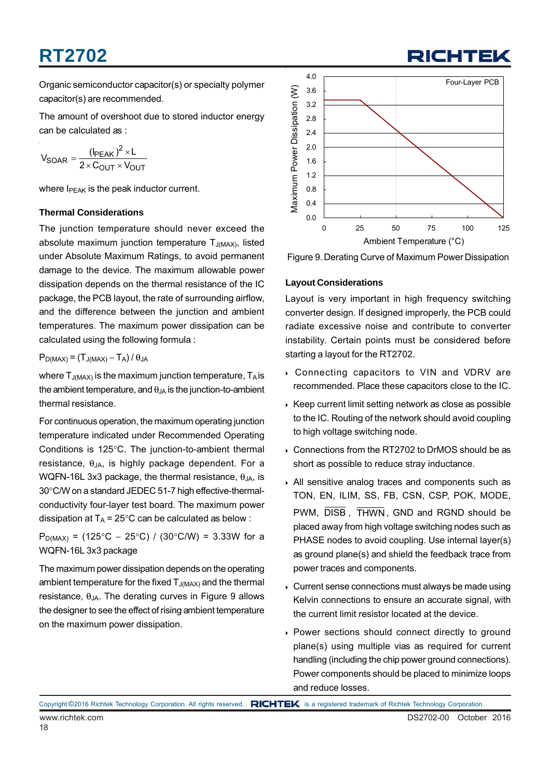Organic semiconductor capacitor(s) or specialty polymer capacitor(s) are recommended.

The amount of overshoot due to stored inductor energy can be calculated as :

$$
V_{SOAR} = \frac{(\text{I}_{PEAK})^2 \times L}{2 \times C_{OUT} \times V_{OUT}}
$$

where  $I_{\text{PFAK}}$  is the peak inductor current.

#### **Thermal Considerations**

The junction temperature should never exceed the absolute maximum junction temperature  $T_{J(MAX)}$ , listed under Absolute Maximum Ratings, to avoid permanent damage to the device. The maximum allowable power dissipation depends on the thermal resistance of the IC package, the PCB layout, the rate of surrounding airflow, and the difference between the junction and ambient temperatures. The maximum power dissipation can be calculated using the following formula :

#### $P_{D(MAX)} = (T_{J(MAX)} - T_A) / \theta_{JA}$

where  $T_{J(MAX)}$  is the maximum junction temperature,  $T_A$  is the ambient temperature, and  $\theta_{JA}$  is the junction-to-ambient thermal resistance.

For continuous operation, the maximum operating junction temperature indicated under Recommended Operating Conditions is 125°C. The junction-to-ambient thermal resistance,  $\theta_{JA}$ , is highly package dependent. For a WQFN-16L 3x3 package, the thermal resistance,  $\theta_{JA}$ , is 30°C/W on a standard JEDEC 51-7 high effective-thermalconductivity four-layer test board. The maximum power dissipation at  $T_A = 25^{\circ}$ C can be calculated as below :

P<sub>D(MAX)</sub> = (125°C – 25°C) / (30°C/W) = 3.33W for a WQFN-16L 3x3 package

The maximum power dissipation depends on the operating ambient temperature for the fixed  $T_{J(MAX)}$  and the thermal resistance,  $θ_{JA}$ . The derating curves in Figure 9 allows the designer to see the effect of rising ambient temperature on the maximum power dissipation.



RICHTEL



#### **Layout Considerations**

Layout is very important in high frequency switching converter design. If designed improperly, the PCB could radiate excessive noise and contribute to converter instability. Certain points must be considered before starting a layout for the RT2702.

- Connecting capacitors to VIN and VDRV are recommended. Place these capacitors close to the IC.
- $\triangleright$  Keep current limit setting network as close as possible to the IC. Routing of the network should avoid coupling to high voltage switching node.
- Connections from the RT2702 to DrMOS should be as short as possible to reduce stray inductance.
- All sensitive analog traces and components such as TON, EN, ILIM, SS, FB, CSN, CSP, POK, MODE, PWM,  $\overline{DISB}$ , THWN, GND and RGND should be placed away from high voltage switching nodes such as PHASE nodes to avoid coupling. Use internal layer(s) as ground plane(s) and shield the feedback trace from power traces and components.
- Current sense connections must always be made using Kelvin connections to ensure an accurate signal, with the current limit resistor located at the device.
- Power sections should connect directly to ground plane(s) using multiple vias as required for current handling (including the chip power ground connections). Power components should be placed to minimize loops and reduce losses.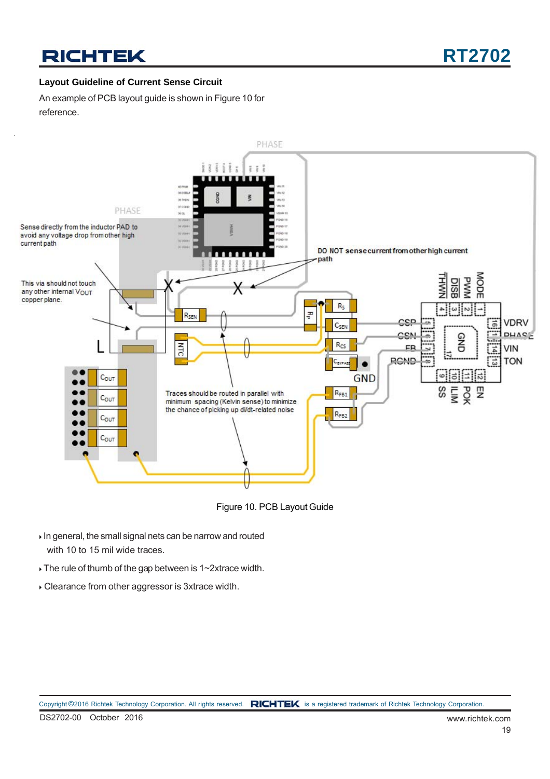#### **Layout Guideline of Current Sense Circuit**

An example of PCB layout guide is shown in Figure 10 for reference.



Figure 10. PCB Layout Guide

- In general, the small signal nets can be narrow and routed with 10 to 15 mil wide traces.
- The rule of thumb of the gap between is 1~2xtrace width.
- Clearance from other aggressor is 3xtrace width.